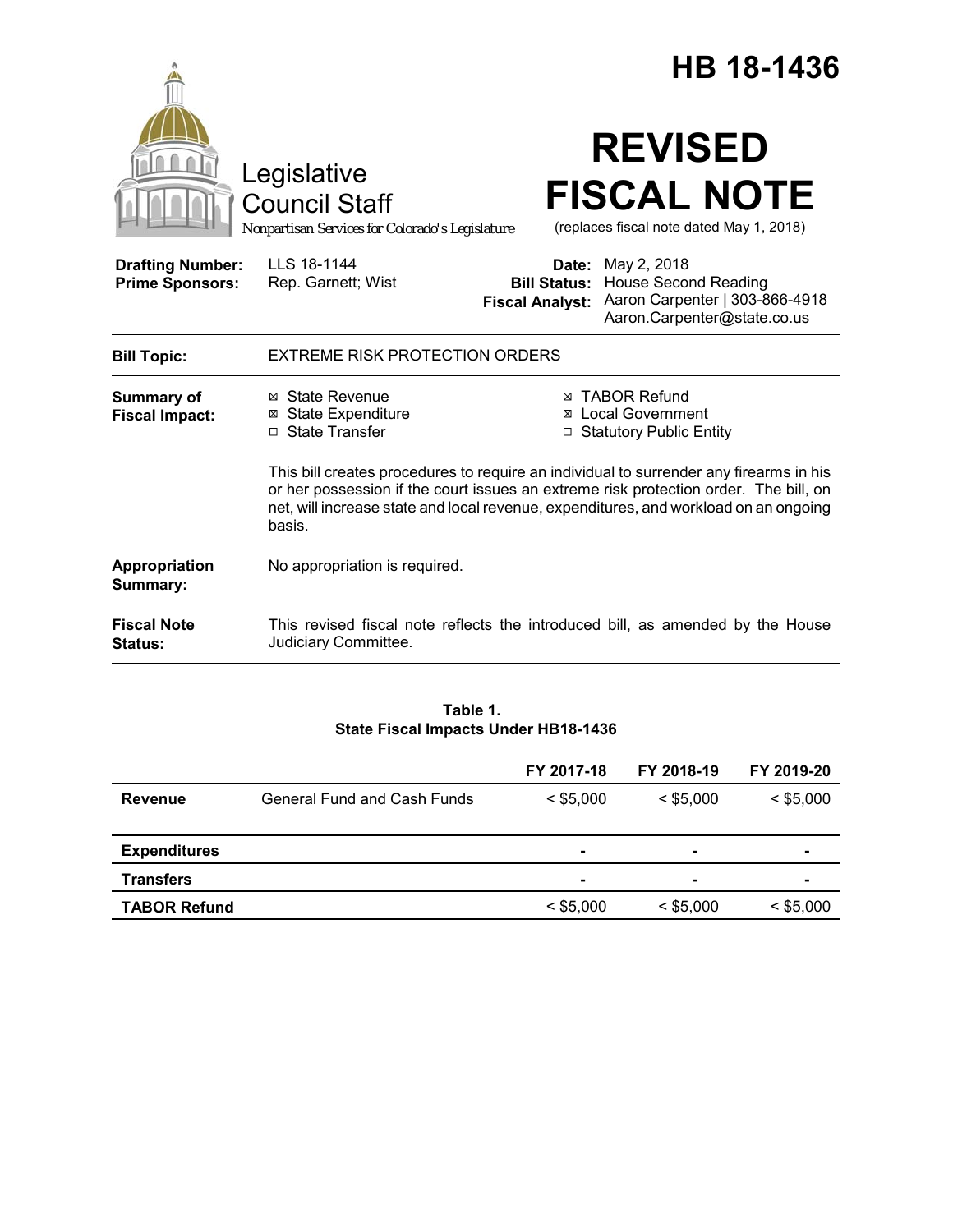|                                                   |                                                                                                                                                                                                                                                                                  |                                                        | HB 18-1436                                                                                                  |  |  |
|---------------------------------------------------|----------------------------------------------------------------------------------------------------------------------------------------------------------------------------------------------------------------------------------------------------------------------------------|--------------------------------------------------------|-------------------------------------------------------------------------------------------------------------|--|--|
|                                                   | Legislative<br><b>Council Staff</b><br>Nonpartisan Services for Colorado's Legislature                                                                                                                                                                                           |                                                        | <b>REVISED</b><br><b>FISCAL NOTE</b><br>(replaces fiscal note dated May 1, 2018)                            |  |  |
| <b>Drafting Number:</b><br><b>Prime Sponsors:</b> | LLS 18-1144<br>Rep. Garnett; Wist                                                                                                                                                                                                                                                | Date:<br><b>Bill Status:</b><br><b>Fiscal Analyst:</b> | May 2, 2018<br><b>House Second Reading</b><br>Aaron Carpenter   303-866-4918<br>Aaron.Carpenter@state.co.us |  |  |
| <b>Bill Topic:</b>                                | <b>EXTREME RISK PROTECTION ORDERS</b>                                                                                                                                                                                                                                            |                                                        |                                                                                                             |  |  |
| <b>Summary of</b><br><b>Fiscal Impact:</b>        | ⊠ State Revenue<br>⊠ State Expenditure<br>□ State Transfer                                                                                                                                                                                                                       |                                                        | <b>⊠ TABOR Refund</b><br><b>⊠</b> Local Government<br>□ Statutory Public Entity                             |  |  |
|                                                   | This bill creates procedures to require an individual to surrender any firearms in his<br>or her possession if the court issues an extreme risk protection order. The bill, on<br>net, will increase state and local revenue, expenditures, and workload on an ongoing<br>basis. |                                                        |                                                                                                             |  |  |
| Appropriation<br>Summary:                         | No appropriation is required.                                                                                                                                                                                                                                                    |                                                        |                                                                                                             |  |  |
| <b>Fiscal Note</b><br><b>Status:</b>              | Judiciary Committee.                                                                                                                                                                                                                                                             |                                                        | This revised fiscal note reflects the introduced bill, as amended by the House                              |  |  |

## **Table 1. State Fiscal Impacts Under HB18-1436**

|                     |                             | FY 2017-18     | FY 2018-19     | FY 2019-20     |
|---------------------|-----------------------------|----------------|----------------|----------------|
| Revenue             | General Fund and Cash Funds | $<$ \$5,000    | $<$ \$5.000    | $<$ \$5,000    |
|                     |                             |                |                |                |
| <b>Expenditures</b> |                             | $\blacksquare$ |                | $\blacksquare$ |
| <b>Transfers</b>    |                             | $\blacksquare$ | $\blacksquare$ | $\blacksquare$ |
| <b>TABOR Refund</b> |                             | $<$ \$5,000    | $<$ \$5,000    | $<$ \$5,000    |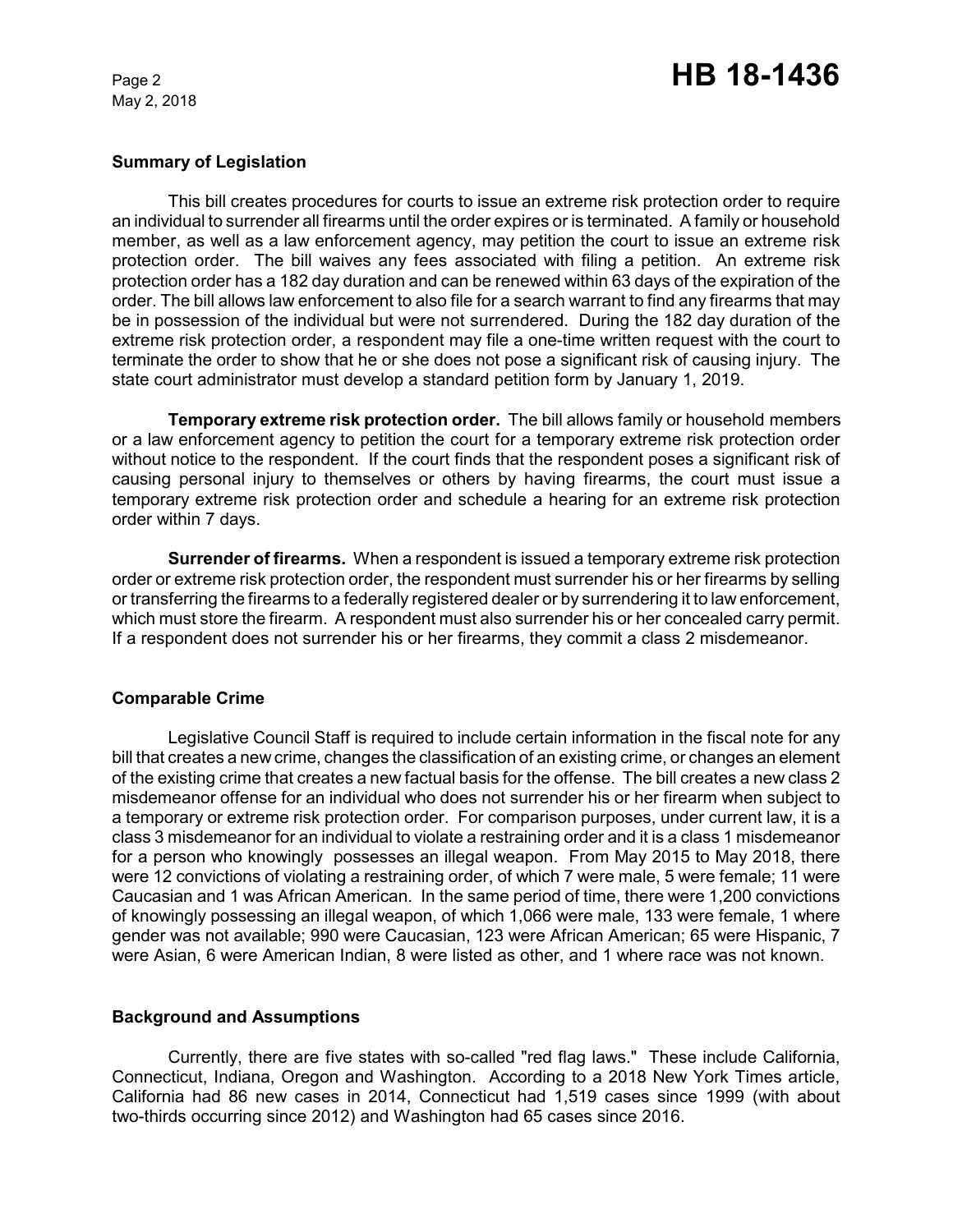# Page 2 **HB 18-1436**

## **Summary of Legislation**

This bill creates procedures for courts to issue an extreme risk protection order to require an individual to surrender all firearms until the order expires or is terminated. A family or household member, as well as a law enforcement agency, may petition the court to issue an extreme risk protection order. The bill waives any fees associated with filing a petition. An extreme risk protection order has a 182 day duration and can be renewed within 63 days of the expiration of the order. The bill allows law enforcement to also file for a search warrant to find any firearms that may be in possession of the individual but were not surrendered. During the 182 day duration of the extreme risk protection order, a respondent may file a one-time written request with the court to terminate the order to show that he or she does not pose a significant risk of causing injury. The state court administrator must develop a standard petition form by January 1, 2019.

**Temporary extreme risk protection order.** The bill allows family or household members or a law enforcement agency to petition the court for a temporary extreme risk protection order without notice to the respondent. If the court finds that the respondent poses a significant risk of causing personal injury to themselves or others by having firearms, the court must issue a temporary extreme risk protection order and schedule a hearing for an extreme risk protection order within 7 days.

**Surrender of firearms.** When a respondent is issued a temporary extreme risk protection order or extreme risk protection order, the respondent must surrender his or her firearms by selling or transferring the firearms to a federally registered dealer or by surrendering it to law enforcement, which must store the firearm. A respondent must also surrender his or her concealed carry permit. If a respondent does not surrender his or her firearms, they commit a class 2 misdemeanor.

# **Comparable Crime**

Legislative Council Staff is required to include certain information in the fiscal note for any bill that creates a new crime, changes the classification of an existing crime, or changes an element of the existing crime that creates a new factual basis for the offense. The bill creates a new class 2 misdemeanor offense for an individual who does not surrender his or her firearm when subject to a temporary or extreme risk protection order. For comparison purposes, under current law, it is a class 3 misdemeanor for an individual to violate a restraining order and it is a class 1 misdemeanor for a person who knowingly possesses an illegal weapon. From May 2015 to May 2018, there were 12 convictions of violating a restraining order, of which 7 were male, 5 were female; 11 were Caucasian and 1 was African American. In the same period of time, there were 1,200 convictions of knowingly possessing an illegal weapon, of which 1,066 were male, 133 were female, 1 where gender was not available; 990 were Caucasian, 123 were African American; 65 were Hispanic, 7 were Asian, 6 were American Indian, 8 were listed as other, and 1 where race was not known.

## **Background and Assumptions**

Currently, there are five states with so-called "red flag laws." These include California, Connecticut, Indiana, Oregon and Washington. According to a 2018 New York Times article, California had 86 new cases in 2014, Connecticut had 1,519 cases since 1999 (with about two-thirds occurring since 2012) and Washington had 65 cases since 2016.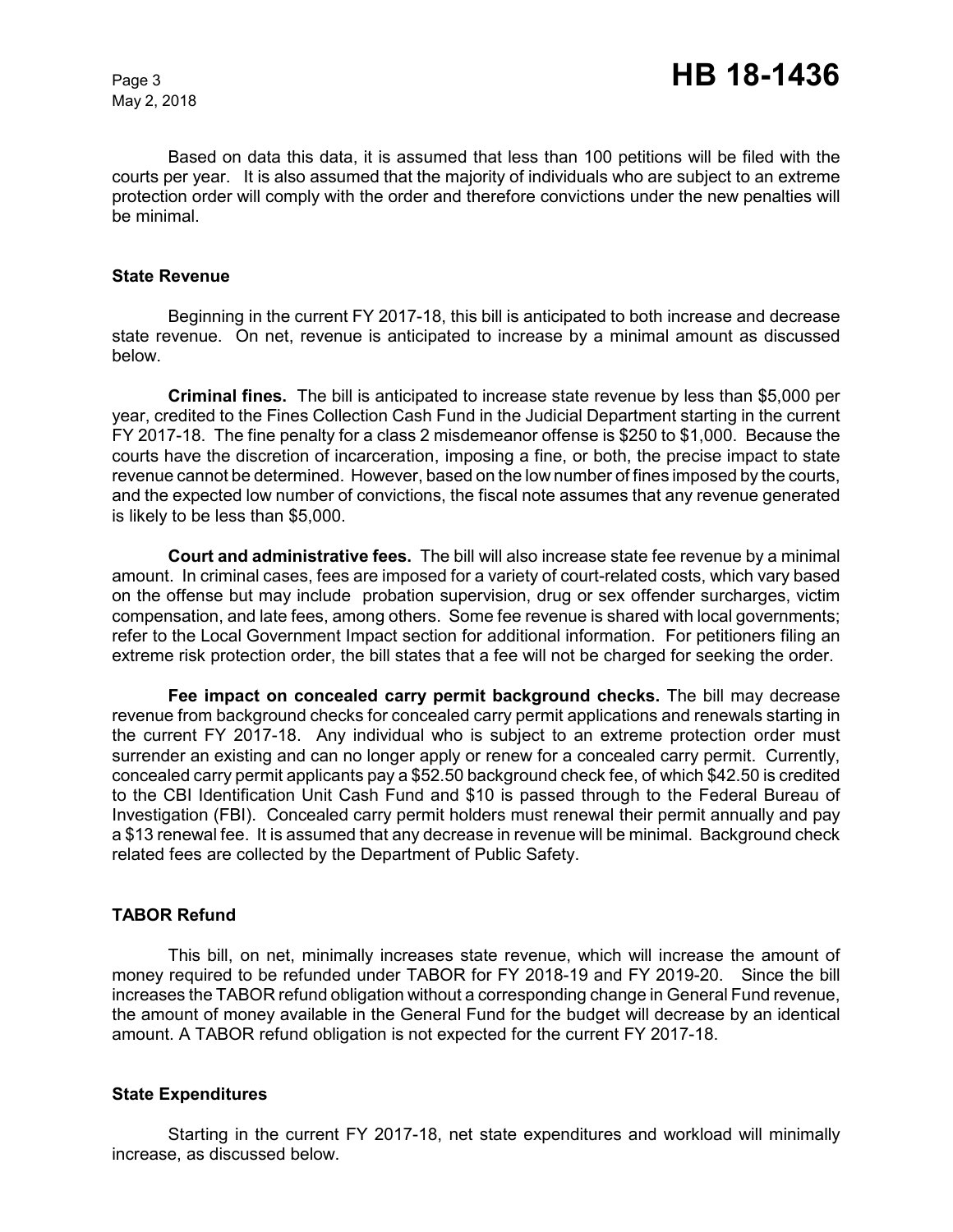Based on data this data, it is assumed that less than 100 petitions will be filed with the courts per year. It is also assumed that the majority of individuals who are subject to an extreme protection order will comply with the order and therefore convictions under the new penalties will be minimal.

#### **State Revenue**

Beginning in the current FY 2017-18, this bill is anticipated to both increase and decrease state revenue. On net, revenue is anticipated to increase by a minimal amount as discussed below.

**Criminal fines.** The bill is anticipated to increase state revenue by less than \$5,000 per year, credited to the Fines Collection Cash Fund in the Judicial Department starting in the current FY 2017-18. The fine penalty for a class 2 misdemeanor offense is \$250 to \$1,000. Because the courts have the discretion of incarceration, imposing a fine, or both, the precise impact to state revenue cannot be determined. However, based on the low number of fines imposed by the courts, and the expected low number of convictions, the fiscal note assumes that any revenue generated is likely to be less than \$5,000.

**Court and administrative fees.** The bill will also increase state fee revenue by a minimal amount. In criminal cases, fees are imposed for a variety of court-related costs, which vary based on the offense but may include probation supervision, drug or sex offender surcharges, victim compensation, and late fees, among others. Some fee revenue is shared with local governments; refer to the Local Government Impact section for additional information. For petitioners filing an extreme risk protection order, the bill states that a fee will not be charged for seeking the order.

**Fee impact on concealed carry permit background checks.** The bill may decrease revenue from background checks for concealed carry permit applications and renewals starting in the current FY 2017-18. Any individual who is subject to an extreme protection order must surrender an existing and can no longer apply or renew for a concealed carry permit. Currently, concealed carry permit applicants pay a \$52.50 background check fee, of which \$42.50 is credited to the CBI Identification Unit Cash Fund and \$10 is passed through to the Federal Bureau of Investigation (FBI). Concealed carry permit holders must renewal their permit annually and pay a \$13 renewal fee. It is assumed that any decrease in revenue will be minimal. Background check related fees are collected by the Department of Public Safety.

# **TABOR Refund**

This bill, on net, minimally increases state revenue, which will increase the amount of money required to be refunded under TABOR for FY 2018-19 and FY 2019-20. Since the bill increases the TABOR refund obligation without a corresponding change in General Fund revenue, the amount of money available in the General Fund for the budget will decrease by an identical amount. A TABOR refund obligation is not expected for the current FY 2017-18.

## **State Expenditures**

Starting in the current FY 2017-18, net state expenditures and workload will minimally increase, as discussed below.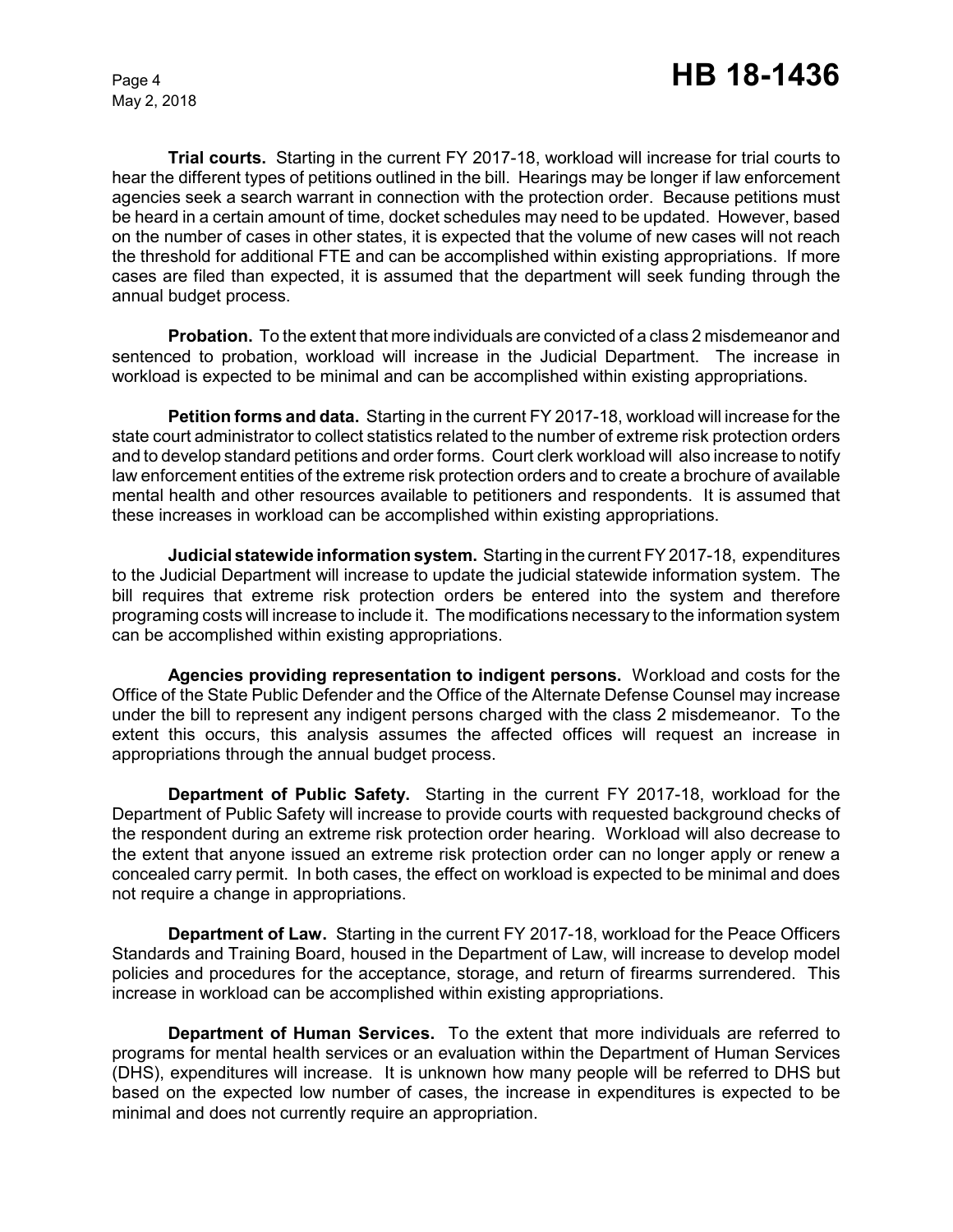**Trial courts.** Starting in the current FY 2017-18, workload will increase for trial courts to hear the different types of petitions outlined in the bill. Hearings may be longer if law enforcement agencies seek a search warrant in connection with the protection order. Because petitions must be heard in a certain amount of time, docket schedules may need to be updated. However, based on the number of cases in other states, it is expected that the volume of new cases will not reach the threshold for additional FTE and can be accomplished within existing appropriations. If more cases are filed than expected, it is assumed that the department will seek funding through the annual budget process.

**Probation.** To the extent that more individuals are convicted of a class 2 misdemeanor and sentenced to probation, workload will increase in the Judicial Department. The increase in workload is expected to be minimal and can be accomplished within existing appropriations.

**Petition forms and data.** Starting in the current FY 2017-18, workload will increase for the state court administrator to collect statistics related to the number of extreme risk protection orders and to develop standard petitions and order forms. Court clerk workload will also increase to notify law enforcement entities of the extreme risk protection orders and to create a brochure of available mental health and other resources available to petitioners and respondents. It is assumed that these increases in workload can be accomplished within existing appropriations.

**Judicial statewide information system.** Starting in the current FY 2017-18, expenditures to the Judicial Department will increase to update the judicial statewide information system. The bill requires that extreme risk protection orders be entered into the system and therefore programing costs will increase to include it. The modifications necessary to the information system can be accomplished within existing appropriations.

**Agencies providing representation to indigent persons.** Workload and costs for the Office of the State Public Defender and the Office of the Alternate Defense Counsel may increase under the bill to represent any indigent persons charged with the class 2 misdemeanor. To the extent this occurs, this analysis assumes the affected offices will request an increase in appropriations through the annual budget process.

**Department of Public Safety.** Starting in the current FY 2017-18, workload for the Department of Public Safety will increase to provide courts with requested background checks of the respondent during an extreme risk protection order hearing. Workload will also decrease to the extent that anyone issued an extreme risk protection order can no longer apply or renew a concealed carry permit. In both cases, the effect on workload is expected to be minimal and does not require a change in appropriations.

**Department of Law.** Starting in the current FY 2017-18, workload for the Peace Officers Standards and Training Board, housed in the Department of Law, will increase to develop model policies and procedures for the acceptance, storage, and return of firearms surrendered. This increase in workload can be accomplished within existing appropriations.

**Department of Human Services.** To the extent that more individuals are referred to programs for mental health services or an evaluation within the Department of Human Services (DHS), expenditures will increase. It is unknown how many people will be referred to DHS but based on the expected low number of cases, the increase in expenditures is expected to be minimal and does not currently require an appropriation.